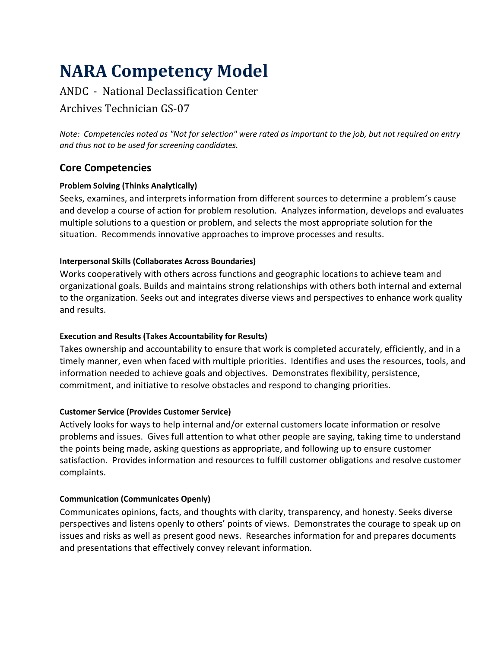# **NARA Competency Model**

# ANDC - National Declassification Center

# Archives Technician GS-07

*Note: Competencies noted as "Not for selection" were rated as important to the job, but not required on entry and thus not to be used for screening candidates.*

## **Core Competencies**

## **Problem Solving (Thinks Analytically)**

Seeks, examines, and interprets information from different sources to determine a problem's cause and develop a course of action for problem resolution. Analyzes information, develops and evaluates multiple solutions to a question or problem, and selects the most appropriate solution for the situation. Recommends innovative approaches to improve processes and results.

#### **Interpersonal Skills (Collaborates Across Boundaries)**

Works cooperatively with others across functions and geographic locations to achieve team and organizational goals. Builds and maintains strong relationships with others both internal and external to the organization. Seeks out and integrates diverse views and perspectives to enhance work quality and results.

## **Execution and Results (Takes Accountability for Results)**

Takes ownership and accountability to ensure that work is completed accurately, efficiently, and in a timely manner, even when faced with multiple priorities. Identifies and uses the resources, tools, and information needed to achieve goals and objectives. Demonstrates flexibility, persistence, commitment, and initiative to resolve obstacles and respond to changing priorities.

## **Customer Service (Provides Customer Service)**

Actively looks for ways to help internal and/or external customers locate information or resolve problems and issues. Gives full attention to what other people are saying, taking time to understand the points being made, asking questions as appropriate, and following up to ensure customer satisfaction. Provides information and resources to fulfill customer obligations and resolve customer complaints.

#### **Communication (Communicates Openly)**

Communicates opinions, facts, and thoughts with clarity, transparency, and honesty. Seeks diverse perspectives and listens openly to others' points of views. Demonstrates the courage to speak up on issues and risks as well as present good news. Researches information for and prepares documents and presentations that effectively convey relevant information.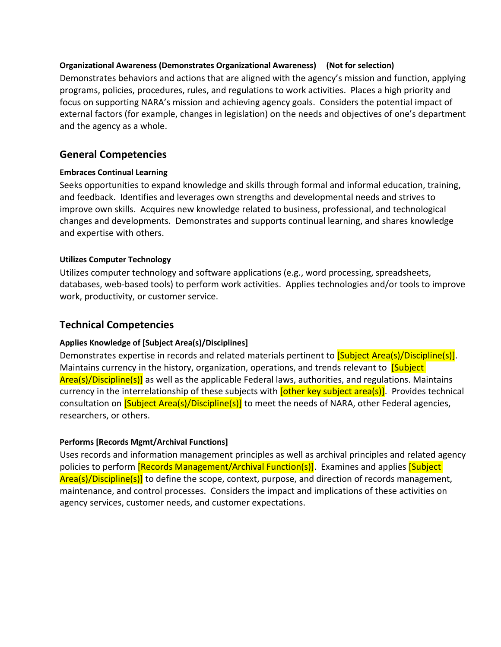#### **Organizational Awareness (Demonstrates Organizational Awareness) (Not for selection)**

Demonstrates behaviors and actions that are aligned with the agency's mission and function, applying programs, policies, procedures, rules, and regulations to work activities. Places a high priority and focus on supporting NARA's mission and achieving agency goals. Considers the potential impact of external factors (for example, changes in legislation) on the needs and objectives of one's department and the agency as a whole.

## **General Competencies**

#### **Embraces Continual Learning**

Seeks opportunities to expand knowledge and skills through formal and informal education, training, and feedback. Identifies and leverages own strengths and developmental needs and strives to improve own skills. Acquires new knowledge related to business, professional, and technological changes and developments. Demonstrates and supports continual learning, and shares knowledge and expertise with others.

#### **Utilizes Computer Technology**

Utilizes computer technology and software applications (e.g., word processing, spreadsheets, databases, web-based tools) to perform work activities. Applies technologies and/or tools to improve work, productivity, or customer service.

## **Technical Competencies**

#### **Applies Knowledge of [Subject Area(s)/Disciplines]**

Demonstrates expertise in records and related materials pertinent to **[Subject Area(s)/Discipline(s)]**. Maintains currency in the history, organization, operations, and trends relevant to **[Subject**] Area(s)/Discipline(s)] as well as the applicable Federal laws, authorities, and regulations. Maintains currency in the interrelationship of these subjects with **[other key subject area(s)**]. Provides technical consultation on **[Subject Area(s)/Discipline(s)]** to meet the needs of NARA, other Federal agencies, researchers, or others.

## **Performs [Records Mgmt/Archival Functions]**

Uses records and information management principles as well as archival principles and related agency policies to perform **[Records Management/Archival Function(s)]**. Examines and applies **[Subject**] Area(s)/Discipline(s)] to define the scope, context, purpose, and direction of records management, maintenance, and control processes.Considers the impact and implications of these activities on agency services, customer needs, and customer expectations.